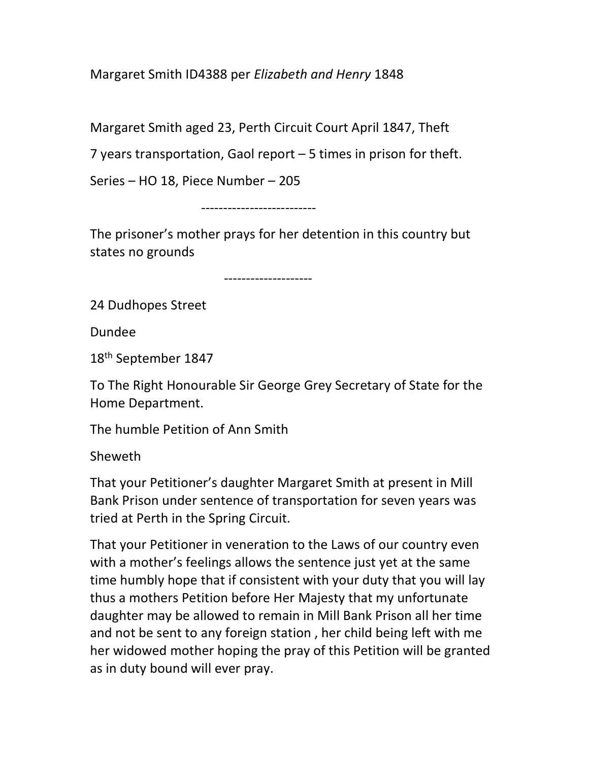Margaret Smith ID4388 per Elizabeth and Henry 1848

Margaret Smith aged 23, Perth Circuit Court April 1847, Theft

7 years transportation, Gaol report – 5 times in prison for theft.

Series – HO 18, Piece Number – 205

--------------------------

The prisoner's mother prays for her detention in this country but states no grounds

--------------------

24 Dudhopes Street

Dundee

18th September 1847

To The Right Honourable Sir George Grey Secretary of State for the Home Department.

The humble Petition of Ann Smith

Sheweth

That your Petitioner's daughter Margaret Smith at present in Mill Bank Prison under sentence of transportation for seven years was tried at Perth in the Spring Circuit.

That your Petitioner in veneration to the Laws of our country even with a mother's feelings allows the sentence just yet at the same time humbly hope that if consistent with your duty that you will lay thus a mothers Petition before Her Majesty that my unfortunate daughter may be allowed to remain in Mill Bank Prison all her time and not be sent to any foreign station , her child being left with me her widowed mother hoping the pray of this Petition will be granted as in duty bound will ever pray.